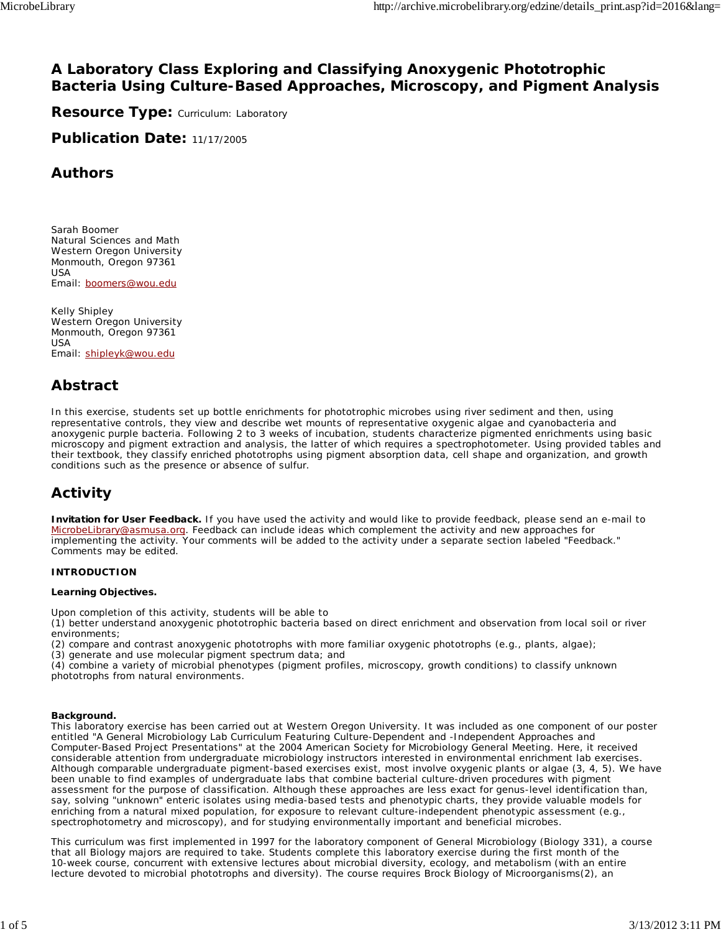# **A Laboratory Class Exploring and Classifying Anoxygenic Phototrophic Bacteria Using Culture-Based Approaches, Microscopy, and Pigment Analysis**

**Resource Type: Curriculum: Laboratory** 

**Publication Date:** 11/17/2005

# **Authors**

*Sarah Boomer* Natural Sciences and Math Western Oregon University Monmouth, Oregon 97361 USA Email: boomers@wou.edu

*Kelly Shipley* Western Oregon University Monmouth, Oregon 97361 USA Email: shipleyk@wou.edu

# **Abstract**

In this exercise, students set up bottle enrichments for phototrophic microbes using river sediment and then, using representative controls, they view and describe wet mounts of representative oxygenic algae and cyanobacteria and anoxygenic purple bacteria. Following 2 to 3 weeks of incubation, students characterize pigmented enrichments using basic microscopy and pigment extraction and analysis, the latter of which requires a spectrophotometer. Using provided tables and their textbook, they classify enriched phototrophs using pigment absorption data, cell shape and organization, and growth conditions such as the presence or absence of sulfur.

# **Activity**

**Invitation for User Feedback.** If you have used the activity and would like to provide feedback, please send an e-mail to MicrobeLibrary@asmusa.org. Feedback can include ideas which complement the activity and new approaches for implementing the activity. Your comments will be added to the activity under a separate section labeled "Feedback." Comments may be edited.

#### **INTRODUCTION**

#### **Learning Objectives.**

Upon completion of this activity, students will be able to

(1) better understand anoxygenic phototrophic bacteria based on direct enrichment and observation from local soil or river environments;

(2) compare and contrast anoxygenic phototrophs with more familiar oxygenic phototrophs (e.g., plants, algae);

(3) generate and use molecular pigment spectrum data; and

(4) combine a variety of microbial phenotypes (pigment profiles, microscopy, growth conditions) to classify unknown phototrophs from natural environments.

#### **Background.**

This laboratory exercise has been carried out at Western Oregon University. It was included as one component of our poster entitled "A General Microbiology Lab Curriculum Featuring Culture-Dependent and -Independent Approaches and Computer-Based Project Presentations" at the 2004 American Society for Microbiology General Meeting. Here, it received considerable attention from undergraduate microbiology instructors interested in environmental enrichment lab exercises. Although comparable undergraduate pigment-based exercises exist, most involve oxygenic plants or algae (3, 4, 5). We have been unable to find examples of undergraduate labs that combine bacterial culture-driven procedures with pigment assessment for the purpose of classification. Although these approaches are less exact for genus-level identification than, say, solving "unknown" enteric isolates using media-based tests and phenotypic charts, they provide valuable models for enriching from a natural mixed population, for exposure to relevant culture-independent phenotypic assessment (e.g., spectrophotometry and microscopy), and for studying environmentally important and beneficial microbes.

This curriculum was first implemented in 1997 for the laboratory component of General Microbiology (Biology 331), a course that all Biology majors are required to take. Students complete this laboratory exercise during the first month of the 10-week course, concurrent with extensive lectures about microbial diversity, ecology, and metabolism (with an entire lecture devoted to microbial phototrophs and diversity). The course requires *Brock Biology of Microorganisms*(2), an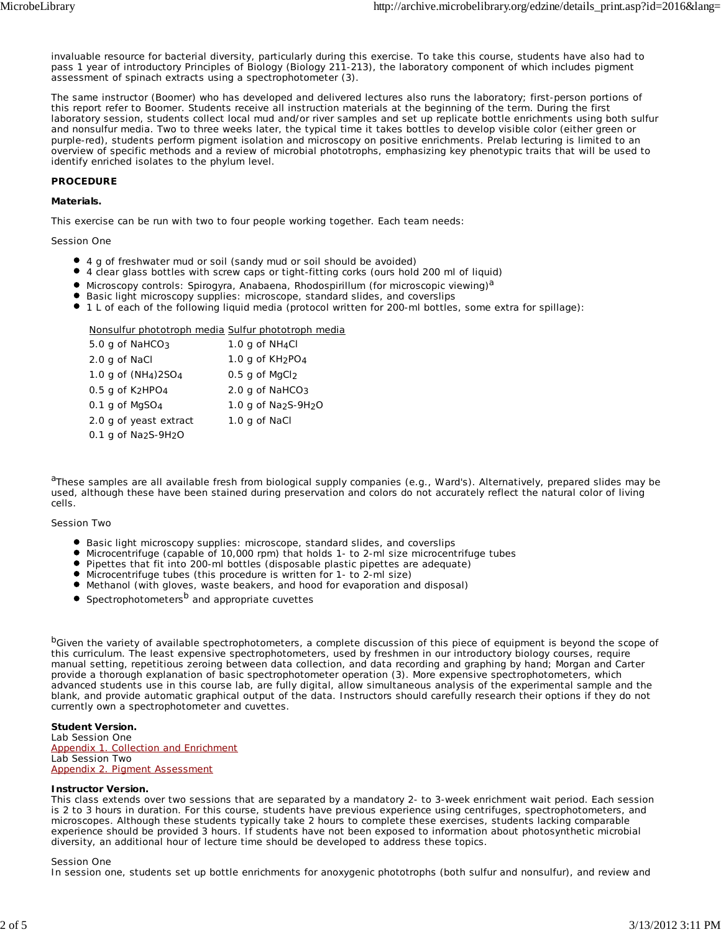invaluable resource for bacterial diversity, particularly during this exercise. To take this course, students have also had to pass 1 year of introductory Principles of Biology (Biology 211-213), the laboratory component of which includes pigment assessment of spinach extracts using a spectrophotometer (3).

The same instructor (Boomer) who has developed and delivered lectures also runs the laboratory; first-person portions of this report refer to Boomer. Students receive all instruction materials at the beginning of the term. During the first laboratory session, students collect local mud and/or river samples and set up replicate bottle enrichments using both sulfur and nonsulfur media. Two to three weeks later, the typical time it takes bottles to develop visible color (either green or purple-red), students perform pigment isolation and microscopy on positive enrichments. Prelab lecturing is limited to an overview of specific methods and a review of microbial phototrophs, emphasizing key phenotypic traits that will be used to identify enriched isolates to the phylum level.

#### **PROCEDURE**

#### **Materials.**

This exercise can be run with two to four people working together. Each team needs:

#### Session One

- 4 g of freshwater mud or soil (sandy mud or soil should be avoided)
- 4 clear glass bottles with screw caps or tight-fitting corks (ours hold 200 ml of liquid)
- Microscopy controls: *Spirogyra*, *Anabaena*, *Rhodospirillum* (for microscopic viewing)*<sup>a</sup>*
- Basic light microscopy supplies: microscope, standard slides, and coverslips
- 1 L of each of the following liquid media (protocol written for 200-ml bottles, some extra for spillage):

#### Nonsulfur phototroph media Sulfur phototroph media

| 5.0 g of NaHCO <sub>3</sub>                    | 1.0 g of $NH_4Cl$            |
|------------------------------------------------|------------------------------|
| 2.0 g of NaCl                                  | 1.0 g of $KH_2PO_4$          |
| 1.0 g of (NH <sub>4</sub> )2SO <sub>4</sub>    | $0.5$ g of MgCl <sub>2</sub> |
| $0.5$ g of K <sub>2</sub> HPO <sub>4</sub>     | 2.0 g of $NAHCO3$            |
| $0.1$ g of MgSO <sub>4</sub>                   | 1.0 g of $Na2S-9H2O$         |
| 2.0 g of yeast extract                         | 1.0 g of NaCl                |
| $0.1$ g of Na <sub>2</sub> S-9H <sub>2</sub> O |                              |

*<sup>a</sup>*These samples are all available fresh from biological supply companies (e.g., Ward's). Alternatively, prepared slides may be used, although these have been stained during preservation and colors do not accurately reflect the natural color of living cells.

#### Session Two

- **•** Basic light microscopy supplies: microscope, standard slides, and coverslips
- Microcentrifuge (capable of 10,000 rpm) that holds 1- to 2-ml size microcentrifuge tubes
- Pipettes that fit into 200-ml bottles (disposable plastic pipettes are adequate)
- Microcentrifuge tubes (this procedure is written for 1- to 2-ml size)
- Methanol (with gloves, waste beakers, and hood for evaporation and disposal)
- Spectrophotometers<sup>*b*</sup> and appropriate cuvettes

*<sup>b</sup>*Given the variety of available spectrophotometers, a complete discussion of this piece of equipment is beyond the scope of this curriculum. The least expensive spectrophotometers, used by freshmen in our introductory biology courses, require manual setting, repetitious zeroing between data collection, and data recording and graphing by hand; Morgan and Carter provide a thorough explanation of basic spectrophotometer operation (3). More expensive spectrophotometers, which advanced students use in this course lab, are fully digital, allow simultaneous analysis of the experimental sample and the blank, and provide automatic graphical output of the data. Instructors should carefully research their options if they do not currently own a spectrophotometer and cuvettes.

#### **Student Version.**

Lab Session One Appendix 1. Collection and Enrichment Lab Session Two Appendix 2. Pigment Assessment

#### **Instructor Version.**

This class extends over two sessions that are separated by a mandatory 2- to 3-week enrichment wait period. Each session is 2 to 3 hours in duration. For this course, students have previous experience using centrifuges, spectrophotometers, and microscopes. Although these students typically take 2 hours to complete these exercises, students lacking comparable experience should be provided 3 hours. If students have not been exposed to information about photosynthetic microbial diversity, an additional hour of lecture time should be developed to address these topics.

#### Session One

In session one, students set up bottle enrichments for anoxygenic phototrophs (both sulfur and nonsulfur), and review and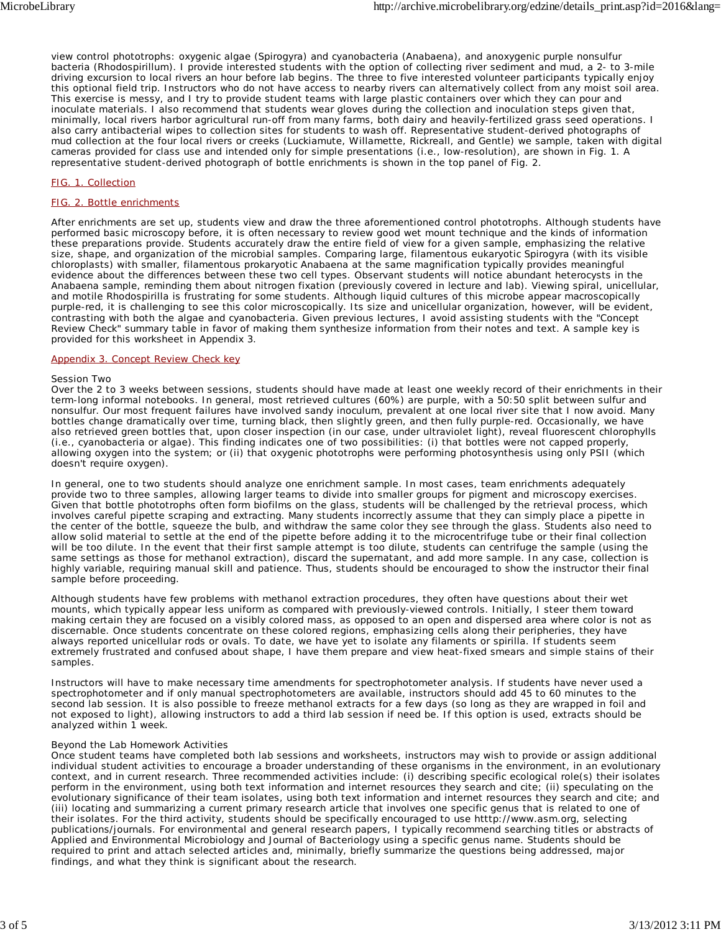view control phototrophs: oxygenic algae (*Spirogyra*) and cyanobacteria (*Anabaena*), and anoxygenic purple nonsulfur bacteria (*Rhodospirillum*). I provide interested students with the option of collecting river sediment and mud, a 2- to 3-mile driving excursion to local rivers an hour before lab begins. The three to five interested volunteer participants typically enjoy this optional field trip. Instructors who do not have access to nearby rivers can alternatively collect from any moist soil area. This exercise is messy, and I try to provide student teams with large plastic containers over which they can pour and inoculate materials. I also recommend that students wear gloves during the collection and inoculation steps given that, minimally, local rivers harbor agricultural run-off from many farms, both dairy and heavily-fertilized grass seed operations. I also carry antibacterial wipes to collection sites for students to wash off. Representative student-derived photographs of mud collection at the four local rivers or creeks (Luckiamute, Willamette, Rickreall, and Gentle) we sample, taken with digital cameras provided for class use and intended only for simple presentations (i.e., low-resolution), are shown in Fig. 1. A representative student-derived photograph of bottle enrichments is shown in the top panel of Fig. 2.

#### FIG. 1. Collection

#### FIG. 2. Bottle enrichments

After enrichments are set up, students view and draw the three aforementioned control phototrophs. Although students have performed basic microscopy before, it is often necessary to review good wet mount technique and the kinds of information these preparations provide. Students accurately draw the entire field of view for a given sample, emphasizing the relative size, shape, and organization of the microbial samples. Comparing large, filamentous eukaryotic *Spirogyra* (with its visible chloroplasts) with smaller, filamentous prokaryotic *Anabaena* at the same magnification typically provides meaningful evidence about the differences between these two cell types. Observant students will notice abundant heterocysts in the *Anabaena* sample, reminding them about nitrogen fixation (previously covered in lecture and lab). Viewing spiral, unicellular, and motile *Rhodospirilla* is frustrating for some students. Although liquid cultures of this microbe appear macroscopically purple-red, it is challenging to see this color microscopically. Its size and unicellular organization, however, will be evident, contrasting with both the algae and cyanobacteria. Given previous lectures, I avoid assisting students with the "Concept Review Check" summary table in favor of making them synthesize information from their notes and text. A sample key is provided for this worksheet in Appendix 3.

#### Appendix 3. Concept Review Check key

#### Session Two

Over the 2 to 3 weeks between sessions, students should have made at least one weekly record of their enrichments in their term-long informal notebooks. In general, most retrieved cultures (60%) are purple, with a 50:50 split between sulfur and nonsulfur. Our most frequent failures have involved sandy inoculum, prevalent at one local river site that I now avoid. Many bottles change dramatically over time, turning black, then slightly green, and then fully purple-red. Occasionally, we have also retrieved green bottles that, upon closer inspection (in our case, under ultraviolet light), reveal fluorescent chlorophylls (i.e., cyanobacteria or algae). This finding indicates one of two possibilities: (i) that bottles were not capped properly, allowing oxygen into the system; or (ii) that oxygenic phototrophs were performing photosynthesis using only PSII (which doesn't require oxygen).

In general, one to two students should analyze one enrichment sample. In most cases, team enrichments adequately provide two to three samples, allowing larger teams to divide into smaller groups for pigment and microscopy exercises. Given that bottle phototrophs often form biofilms on the glass, students will be challenged by the retrieval process, which involves careful pipette scraping and extracting. Many students incorrectly assume that they can simply place a pipette in the center of the bottle, squeeze the bulb, and withdraw the same color they see through the glass. Students also need to allow solid material to settle at the end of the pipette before adding it to the microcentrifuge tube or their final collection will be too dilute. In the event that their first sample attempt is too dilute, students can centrifuge the sample (using the same settings as those for methanol extraction), discard the supernatant, and add more sample. In any case, collection is highly variable, requiring manual skill and patience. Thus, students should be encouraged to show the instructor their final sample before proceeding.

Although students have few problems with methanol extraction procedures, they often have questions about their wet mounts, which typically appear less uniform as compared with previously-viewed controls. Initially, I steer them toward making certain they are focused on a visibly colored mass, as opposed to an open and dispersed area where color is not as discernable. Once students concentrate on these colored regions, emphasizing cells along their peripheries, they have always reported unicellular rods or ovals. To date, we have yet to isolate any filaments or spirilla. If students seem extremely frustrated and confused about shape, I have them prepare and view heat-fixed smears and simple stains of their samples.

Instructors will have to make necessary time amendments for spectrophotometer analysis. If students have never used a spectrophotometer and if only manual spectrophotometers are available, instructors should add 45 to 60 minutes to the second lab session. It is also possible to freeze methanol extracts for a few days (so long as they are wrapped in foil and not exposed to light), allowing instructors to add a third lab session if need be. If this option is used, extracts should be analyzed within 1 week.

#### Beyond the Lab Homework Activities

Once student teams have completed both lab sessions and worksheets, instructors may wish to provide or assign additional individual student activities to encourage a broader understanding of these organisms in the environment, in an evolutionary context, and in current research. Three recommended activities include: (i) describing specific ecological role(s) their isolates perform in the environment, using both text information and internet resources they search and cite; (ii) speculating on the evolutionary significance of their team isolates, using both text information and internet resources they search and cite; and (iii) locating and summarizing a current primary research article that involves one specific genus that is related to one of their isolates. For the third activity, students should be specifically encouraged to use htttp://www.asm.org, selecting publications/journals. For environmental and general research papers, I typically recommend searching titles or abstracts of *Applied and Environmental Microbiology* and *Journal of Bacteriology* using a specific genus name. Students should be required to print and attach selected articles and, minimally, briefly summarize the questions being addressed, major findings, and what they think is significant about the research.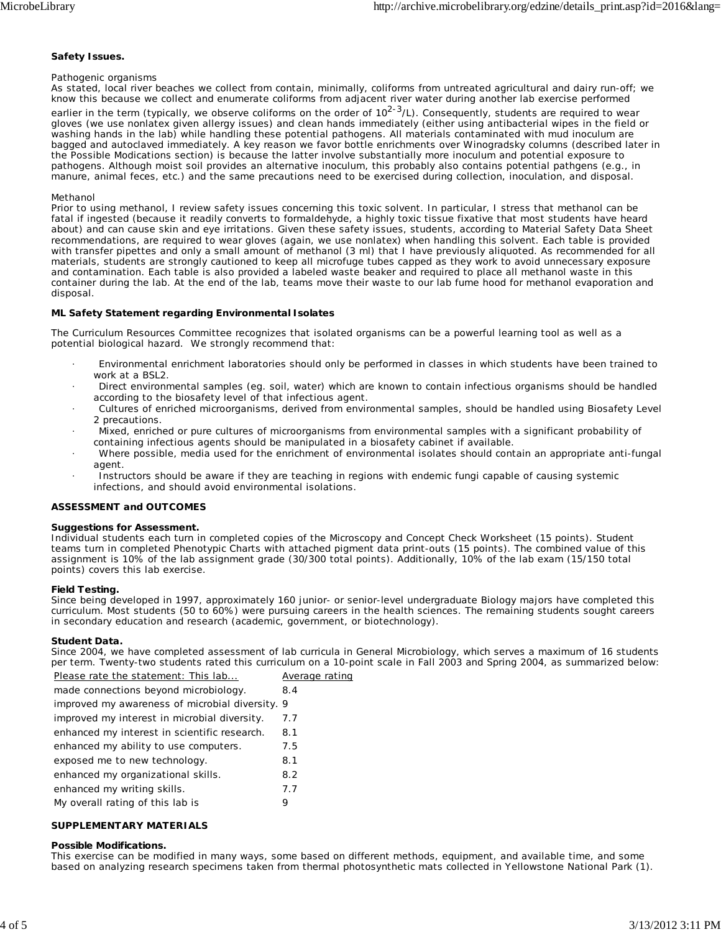#### **Safety Issues.**

#### Pathogenic organisms

As stated, local river beaches we collect from contain, minimally, coliforms from untreated agricultural and dairy run-off; we know this because we collect and enumerate coliforms from adjacent river water during another lab exercise performed earlier in the term (typically, we observe coliforms on the order of 10<sup>2-3</sup>/L). Consequently, students are required to wear gloves (we use nonlatex given allergy issues) and clean hands immediately (either using antibacterial wipes in the field or washing hands in the lab) while handling these potential pathogens. All materials contaminated with mud inoculum are bagged and autoclaved immediately. A key reason we favor bottle enrichments over Winogradsky columns (described later in the Possible Modications section) is because the latter involve substantially more inoculum and potential exposure to pathogens. Although moist soil provides an alternative inoculum, this probably also contains potential pathgens (e.g., in manure, animal feces, etc.) and the same precautions need to be exercised during collection, inoculation, and disposal.

#### Methanol

Prior to using methanol, I review safety issues concerning this toxic solvent. In particular, I stress that methanol can be fatal if ingested (because it readily converts to formaldehyde, a highly toxic tissue fixative that most students have heard about) and can cause skin and eye irritations. Given these safety issues, students, according to Material Safety Data Sheet recommendations, are required to wear gloves (again, we use nonlatex) when handling this solvent. Each table is provided with transfer pipettes and only a small amount of methanol (3 ml) that I have previously aliquoted. As recommended for all materials, students are strongly cautioned to keep all microfuge tubes capped as they work to avoid unnecessary exposure and contamination. Each table is also provided a labeled waste beaker and required to place all methanol waste in this container during the lab. At the end of the lab, teams move their waste to our lab fume hood for methanol evaporation and disposal.

#### **ML Safety Statement regarding Environmental Isolates**

The Curriculum Resources Committee recognizes that isolated organisms can be a powerful learning tool as well as a potential biological hazard. We strongly recommend that:

- · Environmental enrichment laboratories should only be performed in classes in which students have been trained to work at a BSL2.
- · Direct environmental samples (eg. soil, water) which are known to contain infectious organisms should be handled according to the biosafety level of that infectious agent.
- · Cultures of enriched microorganisms, derived from environmental samples, should be handled using Biosafety Level 2 precautions.
- · Mixed, enriched or pure cultures of microorganisms from environmental samples with a significant probability of containing infectious agents should be manipulated in a biosafety cabinet if available.
- · Where possible, media used for the enrichment of environmental isolates should contain an appropriate anti-fungal agent.
- Instructors should be aware if they are teaching in regions with endemic fungi capable of causing systemic infections, and should avoid environmental isolations.

#### **ASSESSMENT and OUTCOMES**

#### **Suggestions for Assessment.**

Individual students each turn in completed copies of the Microscopy and Concept Check Worksheet (15 points). Student teams turn in completed Phenotypic Charts with attached pigment data print-outs (15 points). The combined value of this assignment is 10% of the lab assignment grade (30/300 total points). Additionally, 10% of the lab exam (15/150 total points) covers this lab exercise.

#### **Field Testing.**

Since being developed in 1997, approximately 160 junior- or senior-level undergraduate Biology majors have completed this curriculum. Most students (50 to 60%) were pursuing careers in the health sciences. The remaining students sought careers in secondary education and research (academic, government, or biotechnology).

#### **Student Data.**

Since 2004, we have completed assessment of lab curricula in General Microbiology, which serves a maximum of 16 students per term. Twenty-two students rated this curriculum on a 10-point scale in Fall 2003 and Spring 2004, as summarized below: Please rate the statement: This lab... Average rating

| Please rate the statement: This lab             | Avera |
|-------------------------------------------------|-------|
| made connections beyond microbiology.           | 8.4   |
| improved my awareness of microbial diversity. 9 |       |
| improved my interest in microbial diversity.    | 7.7   |
| enhanced my interest in scientific research.    | 8.1   |
| enhanced my ability to use computers.           | 7.5   |
| exposed me to new technology.                   | 8.1   |
| enhanced my organizational skills.              | 8.2   |
| enhanced my writing skills.                     | 7.7   |
| My overall rating of this lab is                | 9     |
|                                                 |       |

#### **SUPPLEMENTARY MATERIALS**

#### **Possible Modifications.**

This exercise can be modified in many ways, some based on different methods, equipment, and available time, and some based on analyzing research specimens taken from thermal photosynthetic mats collected in Yellowstone National Park (1).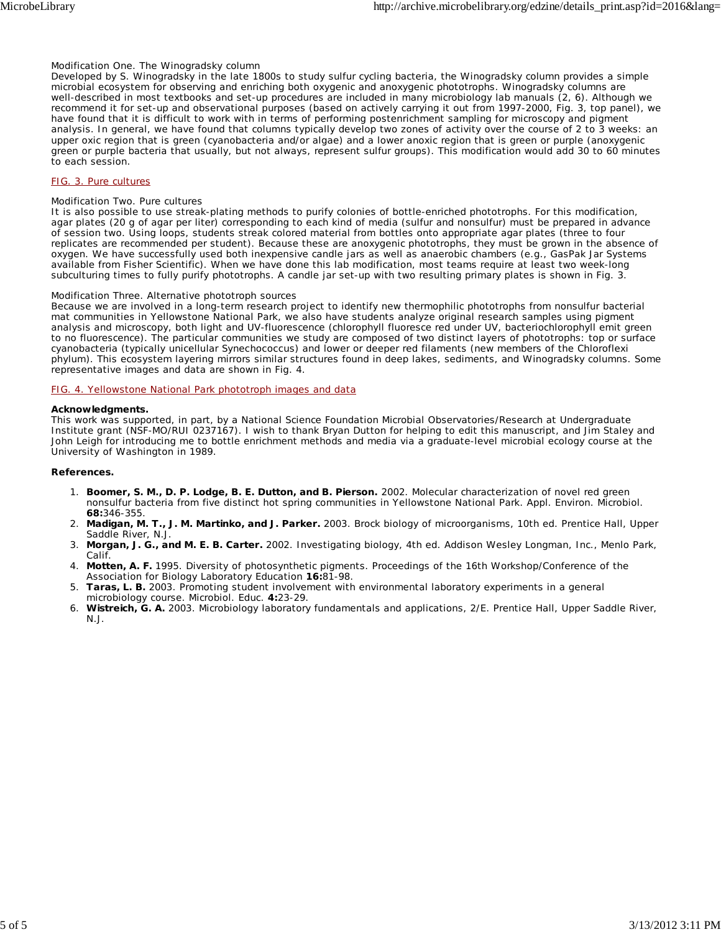#### Modification One. The Winogradsky column

Developed by S. Winogradsky in the late 1800s to study sulfur cycling bacteria, the Winogradsky column provides a simple microbial ecosystem for observing and enriching both oxygenic and anoxygenic phototrophs. Winogradsky columns are well-described in most textbooks and set-up procedures are included in many microbiology lab manuals (2, 6). Although we recommend it for set-up and observational purposes (based on actively carrying it out from 1997-2000, Fig. 3, top panel), we have found that it is difficult to work with in terms of performing postenrichment sampling for microscopy and pigment analysis. In general, we have found that columns typically develop two zones of activity over the course of 2 to 3 weeks: an upper oxic region that is green (cyanobacteria and/or algae) and a lower anoxic region that is green or purple (anoxygenic green or purple bacteria that usually, but not always, represent sulfur groups). This modification would add 30 to 60 minutes to each session.

#### FIG. 3. Pure cultures

#### Modification Two. Pure cultures

It is also possible to use streak-plating methods to purify colonies of bottle-enriched phototrophs. For this modification, agar plates (20 g of agar per liter) corresponding to each kind of media (sulfur and nonsulfur) must be prepared in advance of session two. Using loops, students streak colored material from bottles onto appropriate agar plates (three to four replicates are recommended per student). Because these are anoxygenic phototrophs, they must be grown in the absence of oxygen. We have successfully used both inexpensive candle jars as well as anaerobic chambers (e.g., GasPak Jar Systems available from Fisher Scientific). When we have done this lab modification, most teams require at least two week-long subculturing times to fully purify phototrophs. A candle jar set-up with two resulting primary plates is shown in Fig. 3.

#### Modification Three. Alternative phototroph sources

Because we are involved in a long-term research project to identify new thermophilic phototrophs from nonsulfur bacterial mat communities in Yellowstone National Park, we also have students analyze original research samples using pigment analysis and microscopy, both light and UV-fluorescence (chlorophyll fluoresce red under UV, bacteriochlorophyll emit green to no fluorescence). The particular communities we study are composed of two distinct layers of phototrophs: top or surface cyanobacteria (typically unicellular *Synechococcus*) and lower or deeper red filaments (new members of the Chloroflexi phylum). This ecosystem layering mirrors similar structures found in deep lakes, sediments, and Winogradsky columns. Some representative images and data are shown in Fig. 4.

#### FIG. 4. Yellowstone National Park phototroph images and data

#### **Acknowledgments.**

This work was supported, in part, by a National Science Foundation Microbial Observatories/Research at Undergraduate Institute grant (NSF-MO/RUI 0237167). I wish to thank Bryan Dutton for helping to edit this manuscript, and Jim Staley and John Leigh for introducing me to bottle enrichment methods and media via a graduate-level microbial ecology course at the University of Washington in 1989.

#### **References.**

- **Boomer, S. M., D. P. Lodge, B. E. Dutton, and B. Pierson.** 2002. Molecular characterization of novel red green 1. nonsulfur bacteria from five distinct hot spring communities in Yellowstone National Park. Appl. Environ. Microbiol. **68:**346-355.
- **Madigan, M. T., J. M. Martinko, and J. Parker.** 2003. Brock biology of microorganisms, 10th ed. Prentice Hall, Upper 2. Saddle River, N.J.
- **Morgan, J. G., and M. E. B. Carter.** 2002. Investigating biology, 4th ed. Addison Wesley Longman, Inc., Menlo Park, 3. Calif.
- 4. Motten, A. F. 1995. Diversity of photosynthetic pigments. Proceedings of the 16th Workshop/Conference of the Association for Biology Laboratory Education **16:**81-98.
- **Taras, L. B.** 2003. Promoting student involvement with environmental laboratory experiments in a general 5. microbiology course. Microbiol. Educ. **4:**23-29.
- **Wistreich, G. A.** 2003. Microbiology laboratory fundamentals and applications, 2/E. Prentice Hall, Upper Saddle River, 6. N.J.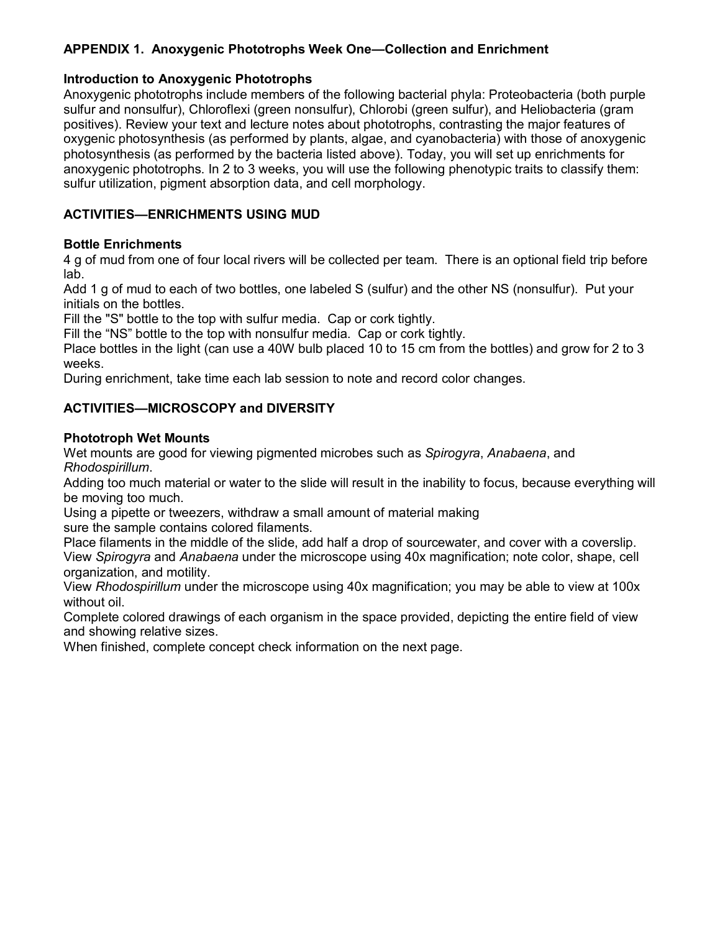# **APPENDIX 1. Anoxygenic Phototrophs Week One—Collection and Enrichment**

### **Introduction to Anoxygenic Phototrophs**

Anoxygenic phototrophs include members of the following bacterial phyla: Proteobacteria (both purple sulfur and nonsulfur), Chloroflexi (green nonsulfur), Chlorobi (green sulfur), and Heliobacteria (gram positives). Review your text and lecture notes about phototrophs, contrasting the major features of oxygenic photosynthesis (as performed by plants, algae, and cyanobacteria) with those of anoxygenic photosynthesis (as performed by the bacteria listed above). Today, you will set up enrichments for anoxygenic phototrophs. In 2 to 3 weeks, you will use the following phenotypic traits to classify them: sulfur utilization, pigment absorption data, and cell morphology.

# **ACTIVITIES—ENRICHMENTS USING MUD**

### **Bottle Enrichments**

4 g of mud from one of four local rivers will be collected per team. There is an optional field trip before lab.

Add 1 g of mud to each of two bottles, one labeled S (sulfur) and the other NS (nonsulfur). Put your initials on the bottles.

Fill the "S" bottle to the top with sulfur media. Cap or cork tightly.

Fill the "NS" bottle to the top with nonsulfur media. Cap or cork tightly.

Place bottles in the light (can use a 40W bulb placed 10 to 15 cm from the bottles) and grow for 2 to 3 weeks.

During enrichment, take time each lab session to note and record color changes.

# **ACTIVITIES—MICROSCOPY and DIVERSITY**

### **Phototroph Wet Mounts**

Wet mounts are good for viewing pigmented microbes such as *Spirogyra*, *Anabaena*, and *Rhodospirillum*.

Adding too much material or water to the slide will result in the inability to focus, because everything will be moving too much.

Using a pipette or tweezers, withdraw a small amount of material making

sure the sample contains colored filaments.

Place filaments in the middle of the slide, add half a drop of sourcewater, and cover with a coverslip. View *Spirogyra* and *Anabaena* under the microscope using 40x magnification; note color, shape, cell organization, and motility.

View *Rhodospirillum* under the microscope using 40x magnification; you may be able to view at 100x without oil.

Complete colored drawings of each organism in the space provided, depicting the entire field of view and showing relative sizes.

When finished, complete concept check information on the next page.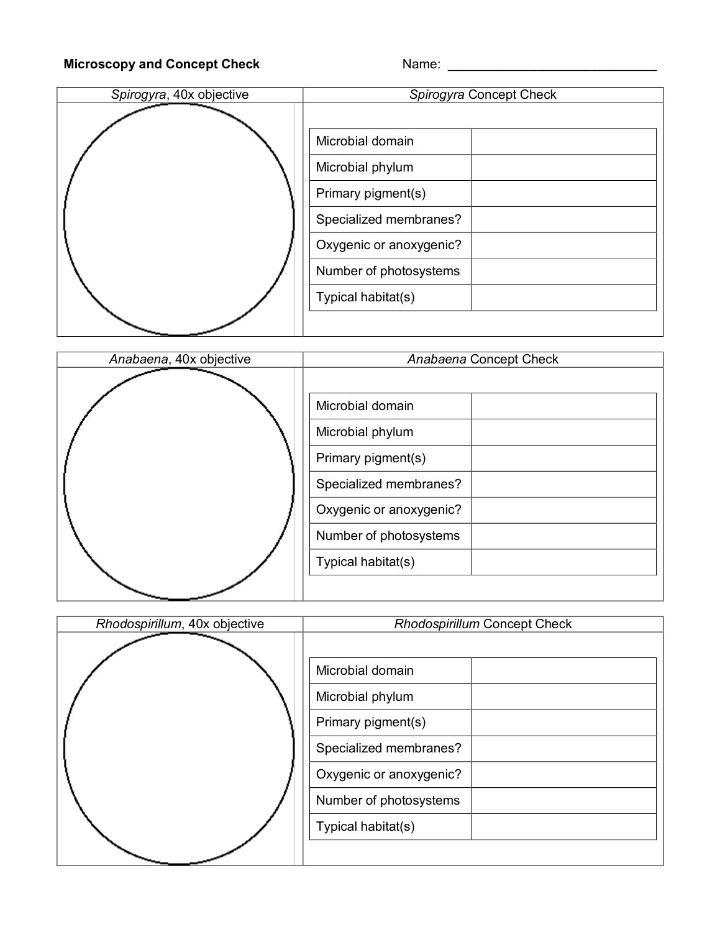# Microscopy and Concept Check Name: Name: Name: Name: Name: Name: Name: Name: Name: Name: Name: Name: Name: Name: Name: Name: Name: Name: Name: Name: Name: Name: Name: Name: Name: Name: Name: Name: Name: Name: Name: Name: N

| Spirogyra, 40x objective | Spirogyra Concept Check                                                                                                                                         |  |
|--------------------------|-----------------------------------------------------------------------------------------------------------------------------------------------------------------|--|
|                          | Microbial domain<br>Microbial phylum<br>Primary pigment(s)<br>Specialized membranes?<br>Oxygenic or anoxygenic?<br>Number of photosystems<br>Typical habitat(s) |  |
|                          |                                                                                                                                                                 |  |

| Anabaena, 40x objective | Anabaena Concept Check                                                                                                                    |  |
|-------------------------|-------------------------------------------------------------------------------------------------------------------------------------------|--|
|                         | Microbial domain<br>Microbial phylum<br>Primary pigment(s)<br>Specialized membranes?<br>Oxygenic or anoxygenic?<br>Number of photosystems |  |
|                         | Typical habitat(s)                                                                                                                        |  |

| Rhodospirillum, 40x objective | <b>Rhodospirillum Concept Check</b>                        |  |
|-------------------------------|------------------------------------------------------------|--|
|                               | Microbial domain<br>Microbial phylum<br>Primary pigment(s) |  |
|                               | Specialized membranes?                                     |  |
|                               | Oxygenic or anoxygenic?                                    |  |
|                               | Number of photosystems                                     |  |
|                               | Typical habitat(s)                                         |  |
|                               |                                                            |  |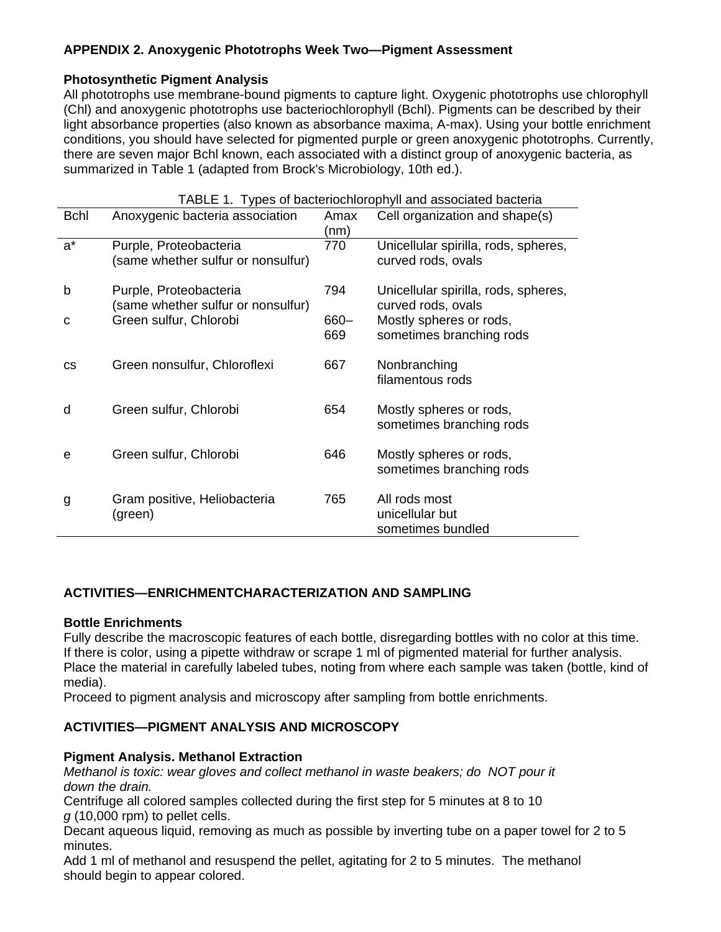# **APPENDIX 2. Anoxygenic Phototrophs Week Two—Pigment Assessment**

# **Photosynthetic Pigment Analysis**

All phototrophs use membrane-bound pigments to capture light. Oxygenic phototrophs use chlorophyll (Chl) and anoxygenic phototrophs use bacteriochlorophyll (Bchl). Pigments can be described by their light absorbance properties (also known as absorbance maxima, A-max). Using your bottle enrichment conditions, you should have selected for pigmented purple or green anoxygenic phototrophs. Currently, there are seven major Bchl known, each associated with a distinct group of anoxygenic bacteria, as summarized in Table 1 (adapted from Brock's Microbiology, 10th ed.).

| TABLE 1. Types of bacteriochlorophyll and associated bacteria |                                                              |                |                                                            |
|---------------------------------------------------------------|--------------------------------------------------------------|----------------|------------------------------------------------------------|
| <b>Bchl</b>                                                   | Anoxygenic bacteria association                              | Amax<br>(nm)   | Cell organization and shape(s)                             |
| $a^*$                                                         | Purple, Proteobacteria<br>(same whether sulfur or nonsulfur) | 770            | Unicellular spirilla, rods, spheres,<br>curved rods, ovals |
| b                                                             | Purple, Proteobacteria<br>(same whether sulfur or nonsulfur) | 794            | Unicellular spirilla, rods, spheres,<br>curved rods, ovals |
| C                                                             | Green sulfur, Chlorobi                                       | $660 -$<br>669 | Mostly spheres or rods,<br>sometimes branching rods        |
| <b>CS</b>                                                     | Green nonsulfur, Chloroflexi                                 | 667            | Nonbranching<br>filamentous rods                           |
| d                                                             | Green sulfur, Chlorobi                                       | 654            | Mostly spheres or rods,<br>sometimes branching rods        |
| e                                                             | Green sulfur, Chlorobi                                       | 646            | Mostly spheres or rods,<br>sometimes branching rods        |
| g                                                             | Gram positive, Heliobacteria<br>(green)                      | 765            | All rods most<br>unicellular but<br>sometimes bundled      |

 $T_{\text{F}}$ 

# **ACTIVITIES—ENRICHMENTCHARACTERIZATION AND SAMPLING**

### **Bottle Enrichments**

Fully describe the macroscopic features of each bottle, disregarding bottles with no color at this time. If there is color, using a pipette withdraw or scrape 1 ml of pigmented material for further analysis. Place the material in carefully labeled tubes, noting from where each sample was taken (bottle, kind of media).

Proceed to pigment analysis and microscopy after sampling from bottle enrichments.

# **ACTIVITIES—PIGMENT ANALYSIS AND MICROSCOPY**

### **Pigment Analysis. Methanol Extraction**

*Methanol is toxic: wear gloves and collect methanol in waste beakers; do NOT pour it down the drain.* 

Centrifuge all colored samples collected during the first step for 5 minutes at 8 to 10 *g* (10,000 rpm) to pellet cells.

Decant aqueous liquid, removing as much as possible by inverting tube on a paper towel for 2 to 5 minutes.

Add 1 ml of methanol and resuspend the pellet, agitating for 2 to 5 minutes. The methanol should begin to appear colored.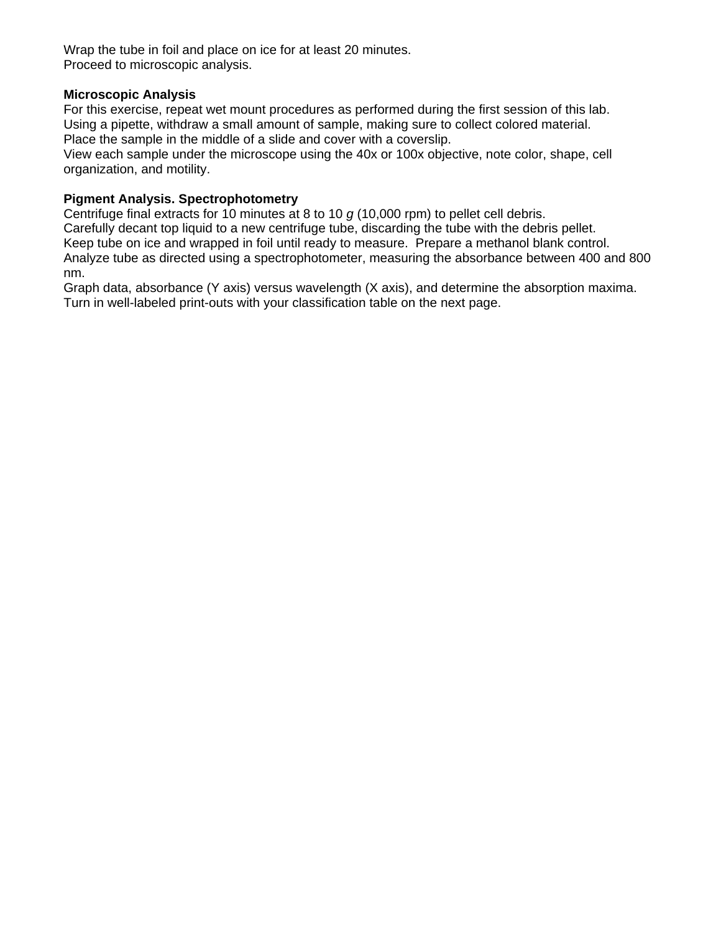Wrap the tube in foil and place on ice for at least 20 minutes. Proceed to microscopic analysis.

### **Microscopic Analysis**

For this exercise, repeat wet mount procedures as performed during the first session of this lab. Using a pipette, withdraw a small amount of sample, making sure to collect colored material. Place the sample in the middle of a slide and cover with a coverslip.

View each sample under the microscope using the 40x or 100x objective, note color, shape, cell organization, and motility.

### **Pigment Analysis. Spectrophotometry**

Centrifuge final extracts for 10 minutes at 8 to 10 *g* (10,000 rpm) to pellet cell debris. Carefully decant top liquid to a new centrifuge tube, discarding the tube with the debris pellet. Keep tube on ice and wrapped in foil until ready to measure. Prepare a methanol blank control. Analyze tube as directed using a spectrophotometer, measuring the absorbance between 400 and 800 nm.

Graph data, absorbance (Y axis) versus wavelength (X axis), and determine the absorption maxima. Turn in well-labeled print-outs with your classification table on the next page.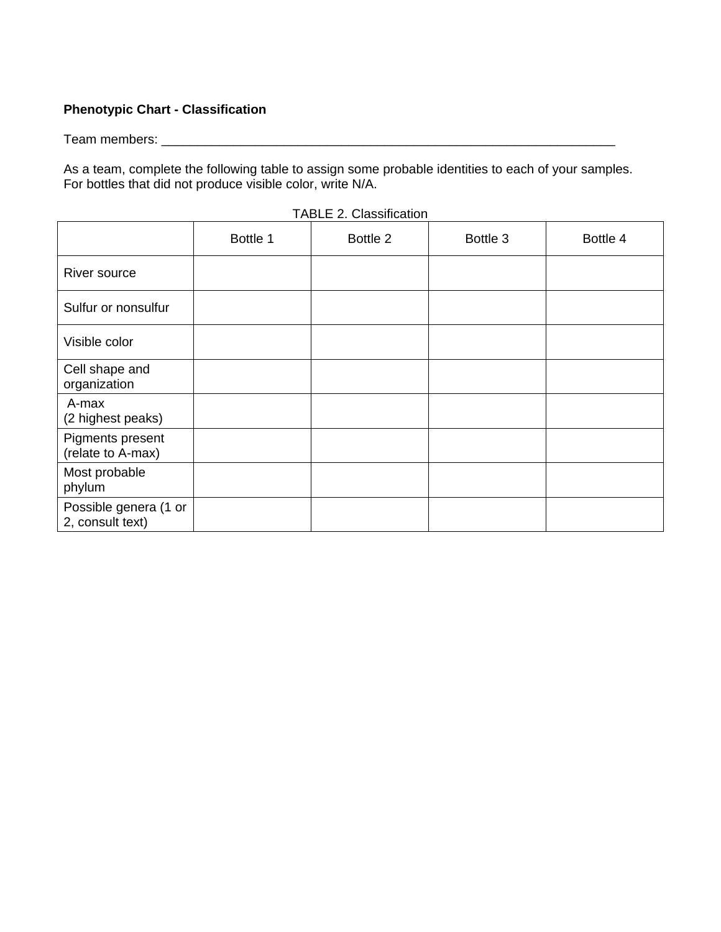# **Phenotypic Chart - Classification**

Team members: \_\_\_\_\_\_\_\_\_\_\_\_\_\_\_\_\_\_\_\_\_\_\_\_\_\_\_\_\_\_\_\_\_\_\_\_\_\_\_\_\_\_\_\_\_\_\_\_\_\_\_\_\_\_\_\_\_\_\_\_\_\_\_

As a team, complete the following table to assign some probable identities to each of your samples. For bottles that did not produce visible color, write N/A.

|                                           | Bottle 1 | Bottle 2 | Bottle 3 | Bottle 4 |
|-------------------------------------------|----------|----------|----------|----------|
| River source                              |          |          |          |          |
| Sulfur or nonsulfur                       |          |          |          |          |
| Visible color                             |          |          |          |          |
| Cell shape and<br>organization            |          |          |          |          |
| A-max<br>(2 highest peaks)                |          |          |          |          |
| Pigments present<br>(relate to A-max)     |          |          |          |          |
| Most probable<br>phylum                   |          |          |          |          |
| Possible genera (1 or<br>2, consult text) |          |          |          |          |

TABLE 2. Classification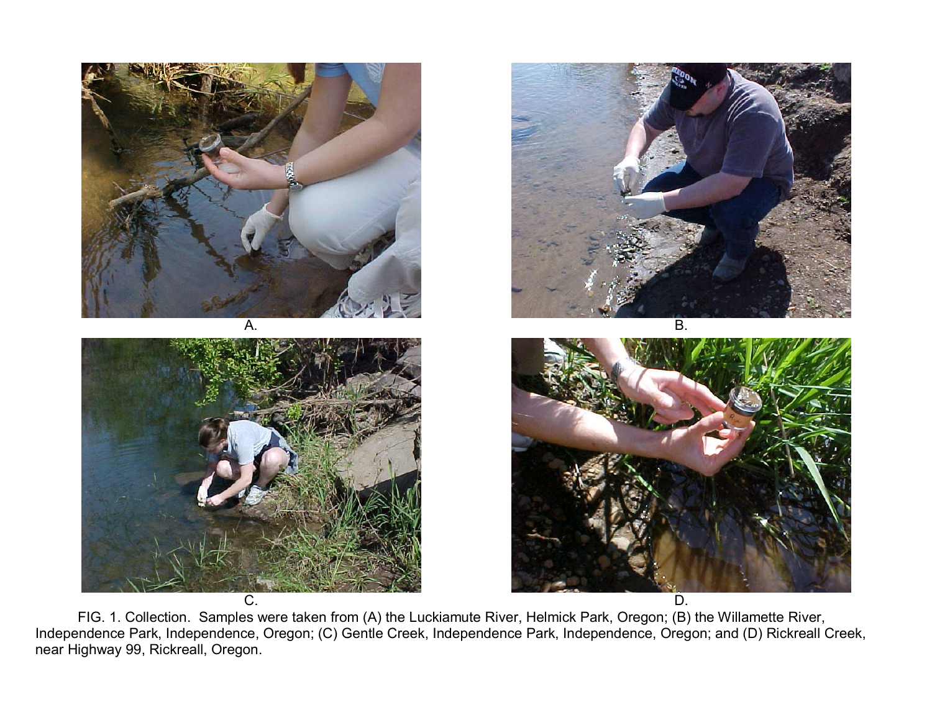

FIG. 1. Collection. Samples were taken from (A) the Luckiamute River, Helmick Park, Oregon; (B) the Willamette River, Independence Park, Independence, Oregon; (C) Gentle Creek, Independence Park, Independence, Oregon; and (D) Rickreall Creek, near Highway 99, Rickreall, Oregon.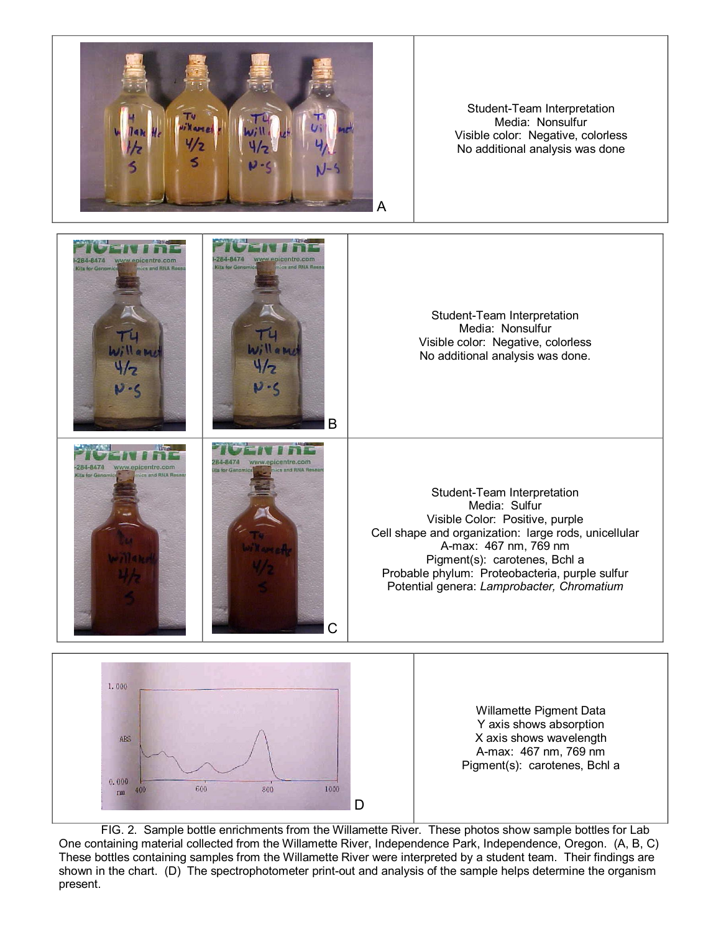

Student-Team Interpretation Media: Nonsulfur Visible color: Negative, colorless No additional analysis was done



FIG. 2. Sample bottle enrichments from the Willamette River. These photos show sample bottles for Lab One containing material collected from the Willamette River, Independence Park, Independence, Oregon. (A, B, C) These bottles containing samples from the Willamette River were interpreted by a student team. Their findings are shown in the chart. (D) The spectrophotometer print-out and analysis of the sample helps determine the organism present.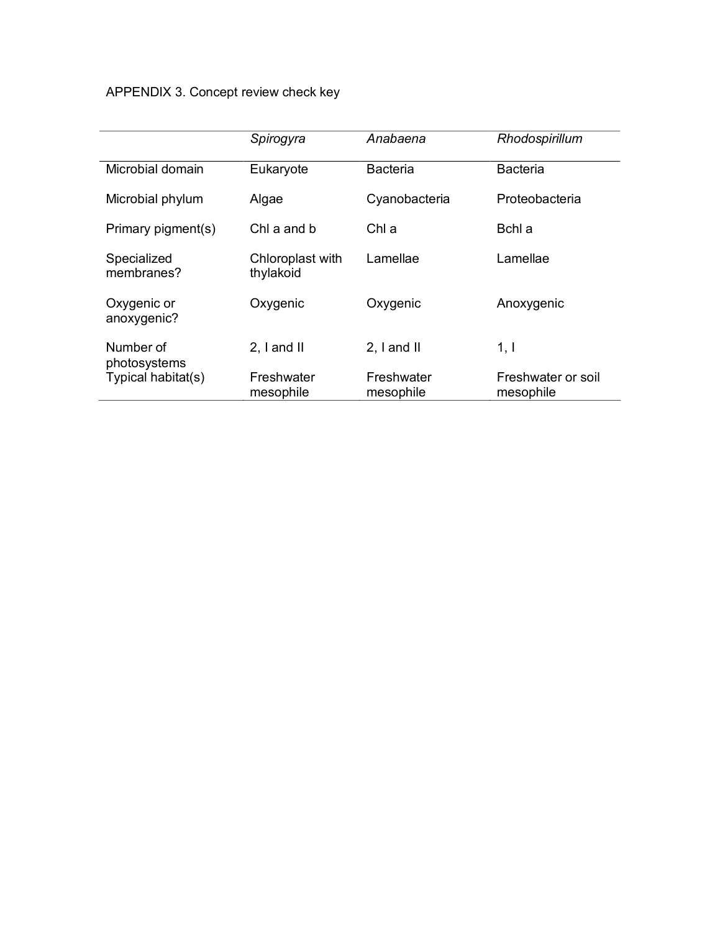# APPENDIX 3. Concept review check key

|                            | Spirogyra                     | Anabaena                | Rhodospirillum                  |
|----------------------------|-------------------------------|-------------------------|---------------------------------|
| Microbial domain           | Eukaryote                     | <b>Bacteria</b>         | <b>Bacteria</b>                 |
| Microbial phylum           | Algae                         | Cyanobacteria           | Proteobacteria                  |
| Primary pigment(s)         | Chl a and b                   | Chl a                   | Bchl a                          |
| Specialized<br>membranes?  | Chloroplast with<br>thylakoid | Lamellae                | Lamellae                        |
| Oxygenic or<br>anoxygenic? | Oxygenic                      | Oxygenic                | Anoxygenic                      |
| Number of<br>photosystems  | $2.1$ and $II$                | $2.1$ and $II$          | 1, 1                            |
| Typical habitat(s)         | Freshwater<br>mesophile       | Freshwater<br>mesophile | Freshwater or soil<br>mesophile |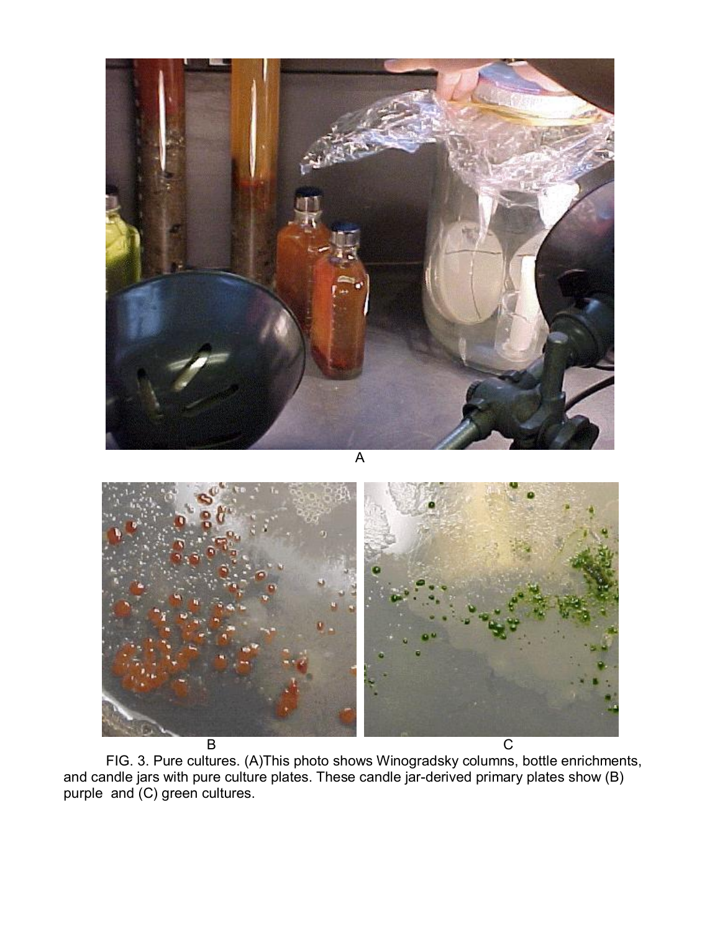

FIG. 3. Pure cultures. (A)This photo shows Winogradsky columns, bottle enrichments, and candle jars with pure culture plates. These candle jar-derived primary plates show (B) purple and (C) green cultures.